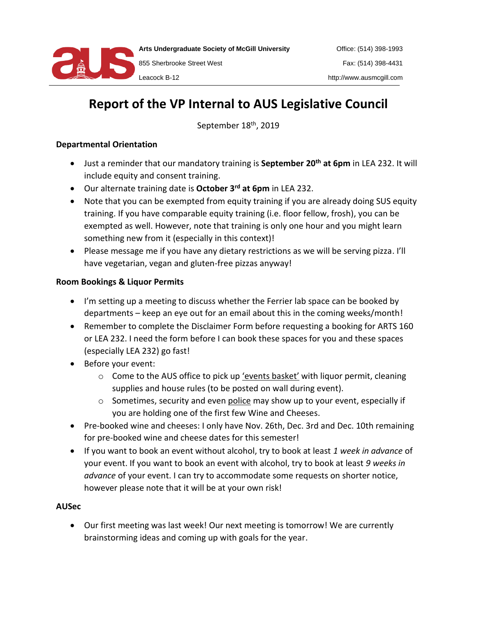

**Arts Undergraduate Society of McGill University**

855 Sherbrooke Street West Leacock B-12

# **Report of the VP Internal to AUS Legislative Council**

September 18<sup>th</sup>, 2019

### **Departmental Orientation**

- Just a reminder that our mandatory training is **September 20th at 6pm** in LEA 232. It will include equity and consent training.
- Our alternate training date is **October 3 rd at 6pm** in LEA 232.
- Note that you can be exempted from equity training if you are already doing SUS equity training. If you have comparable equity training (i.e. floor fellow, frosh), you can be exempted as well. However, note that training is only one hour and you might learn something new from it (especially in this context)!
- Please message me if you have any dietary restrictions as we will be serving pizza. I'll have vegetarian, vegan and gluten-free pizzas anyway!

## **Room Bookings & Liquor Permits**

- I'm setting up a meeting to discuss whether the Ferrier lab space can be booked by departments – keep an eye out for an email about this in the coming weeks/month!
- Remember to complete the Disclaimer Form before requesting a booking for ARTS 160 or LEA 232. I need the form before I can book these spaces for you and these spaces (especially LEA 232) go fast!
- Before your event:
	- $\circ$  Come to the AUS office to pick up 'events basket' with liquor permit, cleaning supplies and house rules (to be posted on wall during event).
	- $\circ$  Sometimes, security and even police may show up to your event, especially if you are holding one of the first few Wine and Cheeses.
- Pre-booked wine and cheeses: I only have Nov. 26th, Dec. 3rd and Dec. 10th remaining for pre-booked wine and cheese dates for this semester!
- If you want to book an event without alcohol, try to book at least *1 week in advance* of your event. If you want to book an event with alcohol, try to book at least *9 weeks in advance* of your event. I can try to accommodate some requests on shorter notice, however please note that it will be at your own risk!

#### **AUSec**

• Our first meeting was last week! Our next meeting is tomorrow! We are currently brainstorming ideas and coming up with goals for the year.